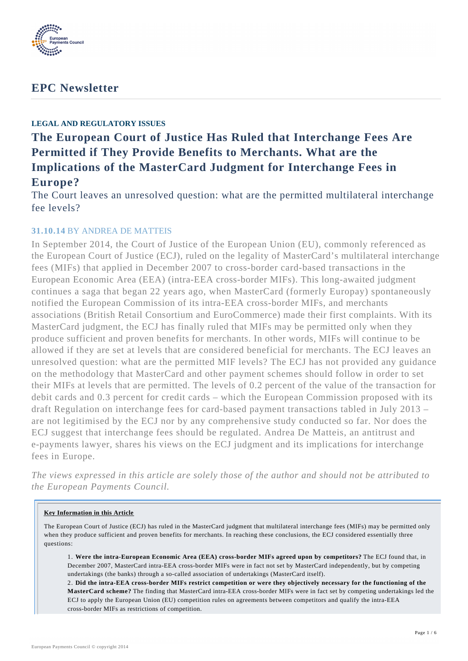

# **EPC Newsletter**

# **LEGAL AND REGULATORY ISSUES**

# **The European Court of Justice Has Ruled that Interchange Fees Are Permitted if They Provide Benefits to Merchants. What are the Implications of the MasterCard Judgment for Interchange Fees in Europe?**

The Court leaves an unresolved question: what are the permitted multilateral interchange fee levels?

# **31.10.14** BY ANDREA DE MATTEIS

In September 2014, the Court of Justice of the European Union (EU), commonly referenced as the European Court of Justice (ECJ), ruled on the legality of MasterCard's multilateral interchange fees (MIFs) that applied in December 2007 to cross-border card-based transactions in the European Economic Area (EEA) (intra-EEA cross-border MIFs). This long-awaited judgment continues a saga that began 22 years ago, when MasterCard (formerly Europay) spontaneously notified the European Commission of its intra-EEA cross-border MIFs, and merchants associations (British Retail Consortium and EuroCommerce) made their first complaints. With its MasterCard judgment, the ECJ has finally ruled that MIFs may be permitted only when they produce sufficient and proven benefits for merchants. In other words, MIFs will continue to be allowed if they are set at levels that are considered beneficial for merchants. The ECJ leaves an unresolved question: what are the permitted MIF levels? The ECJ has not provided any guidance on the methodology that MasterCard and other payment schemes should follow in order to set their MIFs at levels that are permitted. The levels of 0.2 percent of the value of the transaction for debit cards and 0.3 percent for credit cards – which the European Commission proposed with its draft Regulation on interchange fees for card-based payment transactions tabled in July 2013 – are not legitimised by the ECJ nor by any comprehensive study conducted so far. Nor does the ECJ suggest that interchange fees should be regulated. Andrea De Matteis, an antitrust and e-payments lawyer, shares his views on the ECJ judgment and its implications for interchange fees in Europe.

*The views expressed in this article are solely those of the author and should not be attributed to the European Payments Council.*

#### **Key Information in this Article**

The European Court of Justice (ECJ) has ruled in the MasterCard judgment that multilateral interchange fees (MIFs) may be permitted only when they produce sufficient and proven benefits for merchants. In reaching these conclusions, the ECJ considered essentially three questions:

1. **Were the intra-European Economic Area (EEA) cross-border MIFs agreed upon by competitors?** The ECJ found that, in December 2007, MasterCard intra-EEA cross-border MIFs were in fact not set by MasterCard independently, but by competing undertakings (the banks) through a so-called association of undertakings (MasterCard itself).

2. **Did the intra-EEA cross-border MIFs restrict competition or were they objectively necessary for the functioning of the MasterCard scheme?** The finding that MasterCard intra-EEA cross-border MIFs were in fact set by competing undertakings led the ECJ to apply the European Union (EU) competition rules on agreements between competitors and qualify the intra-EEA cross-border MIFs as restrictions of competition.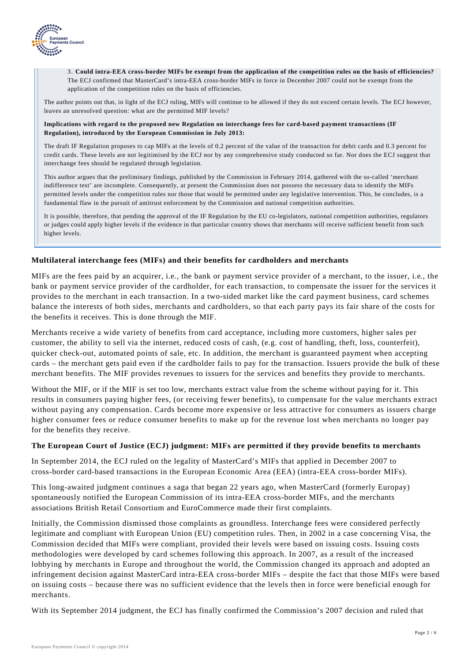

3. **Could intra-EEA cross-border MIFs be exempt from the application of the competition rules on the basis of efficiencies?** The ECJ confirmed that MasterCard's intra-EEA cross-border MIFs in force in December 2007 could not be exempt from the application of the competition rules on the basis of efficiencies.

The author points out that, in light of the ECJ ruling, MIFs will continue to be allowed if they do not exceed certain levels. The ECJ however, leaves an unresolved question: what are the permitted MIF levels?

#### **Implications with regard to the proposed new Regulation on interchange fees for card-based payment transactions (IF Regulation), introduced by the European Commission in July 2013:**

The draft IF Regulation proposes to cap MIFs at the levels of 0.2 percent of the value of the transaction for debit cards and 0.3 percent for credit cards. These levels are not legitimised by the ECJ nor by any comprehensive study conducted so far. Nor does the ECJ suggest that interchange fees should be regulated through legislation.

This author argues that the preliminary findings, published by the Commission in February 2014, gathered with the so-called 'merchant indifference test' are incomplete. Consequently, at present the Commission does not possess the necessary data to identify the MIFs permitted levels under the competition rules nor those that would be permitted under any legislative intervention. This, he concludes, is a fundamental flaw in the pursuit of antitrust enforcement by the Commission and national competition authorities.

It is possible, therefore, that pending the approval of the IF Regulation by the EU co-legislators, national competition authorities, regulators or judges could apply higher levels if the evidence in that particular country shows that merchants will receive sufficient benefit from such higher levels.

### **Multilateral interchange fees (MIFs) and their benefits for cardholders and merchants**

MIFs are the fees paid by an acquirer, i.e*.*, the bank or payment service provider of a merchant, to the issuer, i.e*.*, the bank or payment service provider of the cardholder, for each transaction, to compensate the issuer for the services it provides to the merchant in each transaction. In a two-sided market like the card payment business, card schemes balance the interests of both sides, merchants and cardholders, so that each party pays its fair share of the costs for the benefits it receives. This is done through the MIF.

Merchants receive a wide variety of benefits from card acceptance, including more customers, higher sales per customer, the ability to sell via the internet, reduced costs of cash, (e.g. cost of handling, theft, loss, counterfeit), quicker check-out, automated points of sale, etc. In addition, the merchant is guaranteed payment when accepting cards – the merchant gets paid even if the cardholder fails to pay for the transaction. Issuers provide the bulk of these merchant benefits. The MIF provides revenues to issuers for the services and benefits they provide to merchants.

Without the MIF, or if the MIF is set too low, merchants extract value from the scheme without paying for it. This results in consumers paying higher fees, (or receiving fewer benefits), to compensate for the value merchants extract without paying any compensation. Cards become more expensive or less attractive for consumers as issuers charge higher consumer fees or reduce consumer benefits to make up for the revenue lost when merchants no longer pay for the benefits they receive.

#### **The European Court of Justice (ECJ) judgment: MIFs are permitted if they provide benefits to merchants**

In September 2014, the ECJ ruled on the legality of MasterCard's MIFs that applied in December 2007 to cross-border card-based transactions in the European Economic Area (EEA) (intra-EEA cross-border MIFs).

This long-awaited judgment continues a saga that began 22 years ago, when MasterCard (formerly Europay) spontaneously notified the European Commission of its intra-EEA cross-border MIFs, and the merchants associations British Retail Consortium and EuroCommerce made their first complaints.

Initially, the Commission dismissed those complaints as groundless. Interchange fees were considered perfectly legitimate and compliant with European Union (EU) competition rules. Then, in 2002 in a case concerning Visa, the Commission decided that MIFs were compliant, provided their levels were based on issuing costs. Issuing costs methodologies were developed by card schemes following this approach. In 2007, as a result of the increased lobbying by merchants in Europe and throughout the world, the Commission changed its approach and adopted an infringement decision against MasterCard intra-EEA cross-border MIFs – despite the fact that those MIFs were based on issuing costs – because there was no sufficient evidence that the levels then in force were beneficial enough for merchants.

With its September 2014 judgment, the ECJ has finally confirmed the Commission's 2007 decision and ruled that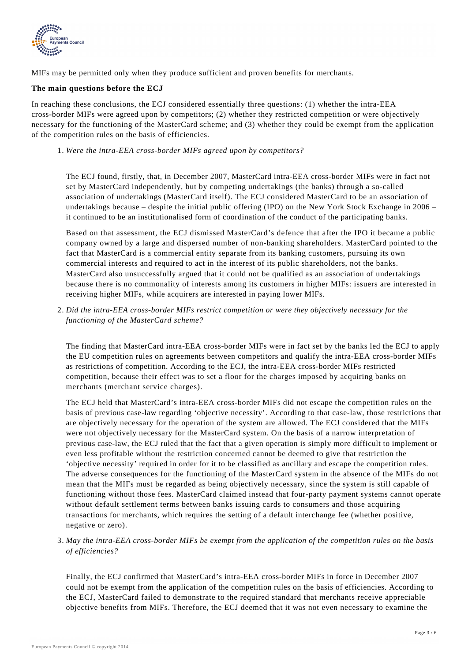

MIFs may be permitted only when they produce sufficient and proven benefits for merchants.

## **The main questions before the ECJ**

In reaching these conclusions, the ECJ considered essentially three questions: (1) whether the intra-EEA cross-border MIFs were agreed upon by competitors; (2) whether they restricted competition or were objectively necessary for the functioning of the MasterCard scheme; and (3) whether they could be exempt from the application of the competition rules on the basis of efficiencies.

*Were the intra-EEA cross-border MIFs agreed upon by competitors?* 1.

The ECJ found, firstly, that, in December 2007, MasterCard intra-EEA cross-border MIFs were in fact not set by MasterCard independently, but by competing undertakings (the banks) through a so-called association of undertakings (MasterCard itself). The ECJ considered MasterCard to be an association of undertakings because – despite the initial public offering (IPO) on the New York Stock Exchange in 2006 – it continued to be an institutionalised form of coordination of the conduct of the participating banks.

Based on that assessment, the ECJ dismissed MasterCard's defence that after the IPO it became a public company owned by a large and dispersed number of non-banking shareholders. MasterCard pointed to the fact that MasterCard is a commercial entity separate from its banking customers, pursuing its own commercial interests and required to act in the interest of its public shareholders, not the banks. MasterCard also unsuccessfully argued that it could not be qualified as an association of undertakings because there is no commonality of interests among its customers in higher MIFs: issuers are interested in receiving higher MIFs, while acquirers are interested in paying lower MIFs.

*Did the intra-EEA cross-border MIFs restrict competition or were they objectively necessary for the* 2. *functioning of the MasterCard scheme?*

The finding that MasterCard intra-EEA cross-border MIFs were in fact set by the banks led the ECJ to apply the EU competition rules on agreements between competitors and qualify the intra-EEA cross-border MIFs as restrictions of competition. According to the ECJ, the intra-EEA cross-border MIFs restricted competition, because their effect was to set a floor for the charges imposed by acquiring banks on merchants (merchant service charges).

The ECJ held that MasterCard's intra-EEA cross-border MIFs did not escape the competition rules on the basis of previous case-law regarding 'objective necessity'. According to that case-law, those restrictions that are objectively necessary for the operation of the system are allowed. The ECJ considered that the MIFs were not objectively necessary for the MasterCard system. On the basis of a narrow interpretation of previous case-law, the ECJ ruled that the fact that a given operation is simply more difficult to implement or even less profitable without the restriction concerned cannot be deemed to give that restriction the 'objective necessity' required in order for it to be classified as ancillary and escape the competition rules. The adverse consequences for the functioning of the MasterCard system in the absence of the MIFs do not mean that the MIFs must be regarded as being objectively necessary, since the system is still capable of functioning without those fees. MasterCard claimed instead that four-party payment systems cannot operate without default settlement terms between banks issuing cards to consumers and those acquiring transactions for merchants, which requires the setting of a default interchange fee (whether positive, negative or zero).

*May the intra-EEA cross-border MIFs be exempt from the application of the competition rules on the basis* 3. *of efficiencies?*

Finally, the ECJ confirmed that MasterCard's intra-EEA cross-border MIFs in force in December 2007 could not be exempt from the application of the competition rules on the basis of efficiencies. According to the ECJ, MasterCard failed to demonstrate to the required standard that merchants receive appreciable objective benefits from MIFs. Therefore, the ECJ deemed that it was not even necessary to examine the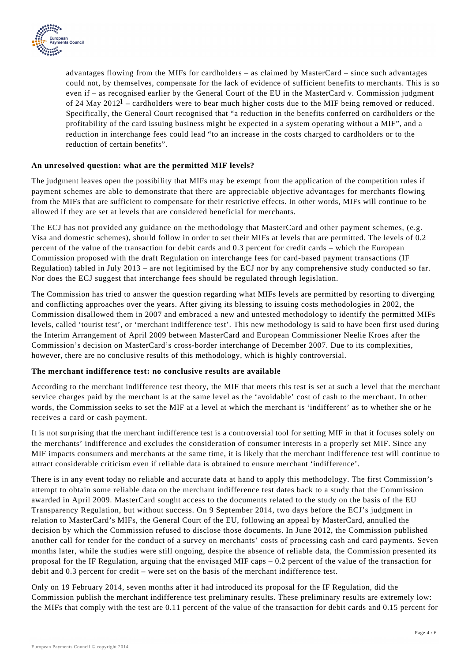

advantages flowing from the MIFs for cardholders – as claimed by MasterCard – since such advantages could not, by themselves, compensate for the lack of evidence of sufficient benefits to merchants. This is so even if – as recognised earlier by the General Court of the EU in the MasterCard v. Commission judgment of 24 May 2012<sup>1</sup> – cardholders were to bear much higher costs due to the MIF being removed or reduced. Specifically, the General Court recognised that "a reduction in the benefits conferred on cardholders or the profitability of the card issuing business might be expected in a system operating without a MIF", and a reduction in interchange fees could lead "to an increase in the costs charged to cardholders or to the reduction of certain benefits".

### **An unresolved question: what are the permitted MIF levels?**

The judgment leaves open the possibility that MIFs may be exempt from the application of the competition rules if payment schemes are able to demonstrate that there are appreciable objective advantages for merchants flowing from the MIFs that are sufficient to compensate for their restrictive effects. In other words, MIFs will continue to be allowed if they are set at levels that are considered beneficial for merchants.

The ECJ has not provided any guidance on the methodology that MasterCard and other payment schemes, (e.g. Visa and domestic schemes), should follow in order to set their MIFs at levels that are permitted. The levels of 0.2 percent of the value of the transaction for debit cards and 0.3 percent for credit cards – which the European Commission proposed with the draft Regulation on interchange fees for card-based payment transactions (IF Regulation) tabled in July 2013 – are not legitimised by the ECJ nor by any comprehensive study conducted so far. Nor does the ECJ suggest that interchange fees should be regulated through legislation.

The Commission has tried to answer the question regarding what MIFs levels are permitted by resorting to diverging and conflicting approaches over the years. After giving its blessing to issuing costs methodologies in 2002, the Commission disallowed them in 2007 and embraced a new and untested methodology to identify the permitted MIFs levels, called 'tourist test', or 'merchant indifference test'. This new methodology is said to have been first used during the Interim Arrangement of April 2009 between MasterCard and European Commissioner Neelie Kroes after the Commission's decision on MasterCard's cross-border interchange of December 2007. Due to its complexities, however, there are no conclusive results of this methodology, which is highly controversial.

#### **The merchant indifference test: no conclusive results are available**

According to the merchant indifference test theory, the MIF that meets this test is set at such a level that the merchant service charges paid by the merchant is at the same level as the 'avoidable' cost of cash to the merchant. In other words, the Commission seeks to set the MIF at a level at which the merchant is 'indifferent' as to whether she or he receives a card or cash payment.

It is not surprising that the merchant indifference test is a controversial tool for setting MIF in that it focuses solely on the merchants' indifference and excludes the consideration of consumer interests in a properly set MIF. Since any MIF impacts consumers and merchants at the same time, it is likely that the merchant indifference test will continue to attract considerable criticism even if reliable data is obtained to ensure merchant 'indifference'.

There is in any event today no reliable and accurate data at hand to apply this methodology. The first Commission's attempt to obtain some reliable data on the merchant indifference test dates back to a study that the Commission awarded in April 2009. MasterCard sought access to the documents related to the study on the basis of the EU Transparency Regulation, but without success. On 9 September 2014, two days before the ECJ's judgment in relation to MasterCard's MIFs, the General Court of the EU, following an appeal by MasterCard, annulled the decision by which the Commission refused to disclose those documents. In June 2012, the Commission published another call for tender for the conduct of a survey on merchants' costs of processing cash and card payments. Seven months later, while the studies were still ongoing, despite the absence of reliable data, the Commission presented its proposal for the IF Regulation, arguing that the envisaged MIF caps – 0.2 percent of the value of the transaction for debit and 0.3 percent for credit – were set on the basis of the merchant indifference test.

Only on 19 February 2014, seven months after it had introduced its proposal for the IF Regulation, did the Commission publish the merchant indifference test preliminary results. These preliminary results are extremely low: the MIFs that comply with the test are 0.11 percent of the value of the transaction for debit cards and 0.15 percent for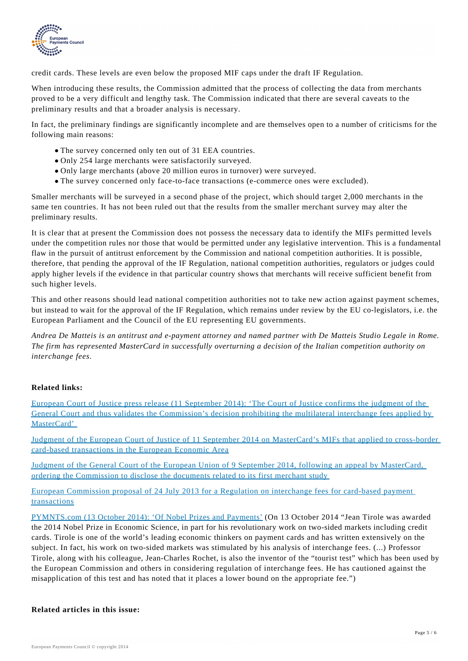

credit cards. These levels are even below the proposed MIF caps under the draft IF Regulation.

When introducing these results, the Commission admitted that the process of collecting the data from merchants proved to be a very difficult and lengthy task. The Commission indicated that there are several caveats to the preliminary results and that a broader analysis is necessary.

In fact, the preliminary findings are significantly incomplete and are themselves open to a number of criticisms for the following main reasons:

- The survey concerned only ten out of 31 EEA countries.
- Only 254 large merchants were satisfactorily surveyed.
- Only large merchants (above 20 million euros in turnover) were surveyed.
- The survey concerned only face-to-face transactions (e-commerce ones were excluded).

Smaller merchants will be surveyed in a second phase of the project, which should target 2,000 merchants in the same ten countries. It has not been ruled out that the results from the smaller merchant survey may alter the preliminary results.

It is clear that at present the Commission does not possess the necessary data to identify the MIFs permitted levels under the competition rules nor those that would be permitted under any legislative intervention. This is a fundamental flaw in the pursuit of antitrust enforcement by the Commission and national competition authorities. It is possible, therefore, that pending the approval of the IF Regulation, national competition authorities, regulators or judges could apply higher levels if the evidence in that particular country shows that merchants will receive sufficient benefit from such higher levels.

This and other reasons should lead national competition authorities not to take new action against payment schemes, but instead to wait for the approval of the IF Regulation, which remains under review by the EU co-legislators, i.e. the European Parliament and the Council of the EU representing EU governments.

*Andrea De Matteis is an antitrust and e-payment attorney and named partner with De Matteis Studio Legale in Rome. The firm has represented MasterCard in successfully overturning a decision of the Italian competition authority on interchange fees.*

## **Related links:**

[European Court of Justice press release \(11 September 2014\): 'The Court of Justice confirms the judgment of the](http://curia.europa.eu/jcms/upload/docs/application/pdf/2014-09/cp140122en.pdf) [General Court and thus validates the Commission's decision prohibiting the multilateral interchange fees applied by](http://curia.europa.eu/jcms/upload/docs/application/pdf/2014-09/cp140122en.pdf) [MasterCard'](http://curia.europa.eu/jcms/upload/docs/application/pdf/2014-09/cp140122en.pdf) 

[Judgment of the European Court of Justice of 11 September 2014 on MasterCard's MIFs that applied to cross-border](http://curia.europa.eu/juris/document/document.jsf?text=&docid=157521&pageIndex=0&doclang=EN&mode=lst&dir=&occ=first&part=1&cid=82691) [card-based transactions in the European Economic Area](http://curia.europa.eu/juris/document/document.jsf?text=&docid=157521&pageIndex=0&doclang=EN&mode=lst&dir=&occ=first&part=1&cid=82691)

[Judgment of the General Court of the European Union of 9 September 2014, following an appeal by MasterCard,](http://curia.europa.eu/juris/document/document.jsf?text=&docid=157442&pageIndex=0&doclang=EN&mode=lst&dir=&occ=first&part=1&cid=82691) [ordering the Commission to disclose the documents related to its first merchant study](http://curia.europa.eu/juris/document/document.jsf?text=&docid=157442&pageIndex=0&doclang=EN&mode=lst&dir=&occ=first&part=1&cid=82691) 

[European Commission proposal of 24 July 2013 for a Regulation on interchange fees for card-based payment](http://eur-lex.europa.eu/legal-content/EN/ALL/;ELX_SESSIONID=TcJLJHnJ6GJnkQXMh3Ljv2kRnz35LcQQRGJWGF76vtGLsLTQYt3X!885799739?uri=CELEX:52013PC0550) [transactions](http://eur-lex.europa.eu/legal-content/EN/ALL/;ELX_SESSIONID=TcJLJHnJ6GJnkQXMh3Ljv2kRnz35LcQQRGJWGF76vtGLsLTQYt3X!885799739?uri=CELEX:52013PC0550)

[PYMNTS.com \(13 October 2014\): 'Of Nobel Prizes and Payments'](http://www.pymnts.com/news/2014/of-nobel-prizes-and-payments/#.VEdwivmUc5m) (On 13 October 2014 "Jean Tirole was awarded the 2014 Nobel Prize in Economic Science, in part for his revolutionary work on two-sided markets including credit cards. Tirole is one of the world's leading economic thinkers on payment cards and has written extensively on the subject. In fact, his work on two-sided markets was stimulated by his analysis of interchange fees. (...) Professor Tirole, along with his colleague, Jean-Charles Rochet, is also the inventor of the "tourist test" which has been used by the European Commission and others in considering regulation of interchange fees. He has cautioned against the misapplication of this test and has noted that it places a lower bound on the appropriate fee.")

#### **Related articles in this issue:**